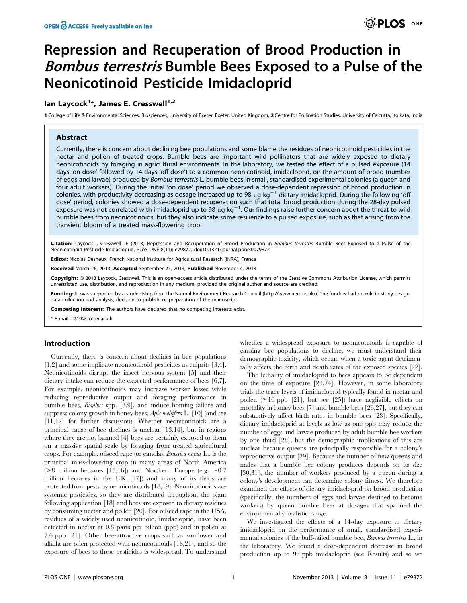# Repression and Recuperation of Brood Production in Bombus terrestris Bumble Bees Exposed to a Pulse of the Neonicotinoid Pesticide Imidacloprid

## lan Laycock<sup>1\*</sup>, James E. Cresswell<sup>1,2</sup>

1 College of Life & Environmental Sciences, Biosciences, University of Exeter, Exeter, United Kingdom, 2 Centre for Pollination Studies, University of Calcutta, Kolkata, India

## Abstract

Currently, there is concern about declining bee populations and some blame the residues of neonicotinoid pesticides in the nectar and pollen of treated crops. Bumble bees are important wild pollinators that are widely exposed to dietary neonicotinoids by foraging in agricultural environments. In the laboratory, we tested the effect of a pulsed exposure (14 days 'on dose' followed by 14 days 'off dose') to a common neonicotinoid, imidacloprid, on the amount of brood (number of eggs and larvae) produced by Bombus terrestris L. bumble bees in small, standardised experimental colonies (a queen and four adult workers). During the initial 'on dose' period we observed a dose-dependent repression of brood production in colonies, with productivity decreasing as dosage increased up to 98  $\mu$ g kg<sup>-1</sup> dietary imidacloprid. During the following 'off dose' period, colonies showed a dose-dependent recuperation such that total brood production during the 28-day pulsed exposure was not correlated with imidacloprid up to 98  $\mu$ g kg<sup>-1</sup>. Our findings raise further concern about the threat to wild bumble bees from neonicotinoids, but they also indicate some resilience to a pulsed exposure, such as that arising from the transient bloom of a treated mass-flowering crop.

Citation: Laycock I, Cresswell JE (2013) Repression and Recuperation of Brood Production in Bombus terrestris Bumble Bees Exposed to a Pulse of the Neonicotinoid Pesticide Imidacloprid. PLoS ONE 8(11): e79872. doi:10.1371/journal.pone.0079872

Editor: Nicolas Desneux, French National Institute for Agricultural Research (INRA), France

Received March 26, 2013; Accepted September 27, 2013; Published November 4, 2013

**Copyright:** © 2013 Laycock, Cresswell. This is an open-access article distributed under the terms of the Creative Commons Attribution License, which permits unrestricted use, distribution, and reproduction in any medium, provided the original author and source are credited.

Funding: IL was supported by a studentship from the Natural Environment Research Council (http://www.nerc.ac.uk/). The funders had no role in study design, data collection and analysis, decision to publish, or preparation of the manuscript.

**ompeting Interests:** The authors have declared that no competing interests exist.

\* E-mail: il219@exeter.ac.uk

## Introduction

Currently, there is concern about declines in bee populations [1,2] and some implicate neonicotinoid pesticides as culprits [3,4]. Neonicotinoids disrupt the insect nervous system [5] and their dietary intake can reduce the expected performance of bees [6,7]. For example, neonicotinoids may increase worker losses while reducing reproductive output and foraging performance in bumble bees, Bombus spp. [8,9], and induce homing failure and suppress colony growth in honey bees, Apis mellifera L. [10] (and see [11,12] for further discussion). Whether neonicotinoids are a principal cause of bee declines is unclear [13,14], but in regions where they are not banned [4] bees are certainly exposed to them on a massive spatial scale by foraging from treated agricultural crops. For example, oilseed rape (or canola), Brassica napus L., is the principal mass-flowering crop in many areas of North America ( $>8$  million hectares [15,16]) and Northern Europe (e.g.  $\sim 0.7$ million hectares in the UK [17]) and many of its fields are protected from pests by neonicotinoids [18,19]. Neonicotinoids are systemic pesticides, so they are distributed throughout the plant following application [18] and bees are exposed to dietary residues by consuming nectar and pollen [20]. For oilseed rape in the USA, residues of a widely used neonicotinoid, imidacloprid, have been detected in nectar at 0.8 parts per billion (ppb) and in pollen at 7.6 ppb [21]. Other bee-attractive crops such as sunflower and alfalfa are often protected with neonicotinoids [18,21], and so the exposure of bees to these pesticides is widespread. To understand

whether a widespread exposure to neonicotinoids is capable of causing bee populations to decline, we must understand their demographic toxicity, which occurs when a toxic agent detrimentally affects the birth and death rates of the exposed species [22].

The lethality of imidacloprid to bees appears to be dependent on the time of exposure [23,24]. However, in some laboratory trials the trace levels of imidacloprid typically found in nectar and pollen  $(\leq 10$  ppb [21], but see [25]) have negligible effects on mortality in honey bees [7] and bumble bees [26,27], but they can substantively affect birth rates in bumble bees [28]. Specifically, dietary imidacloprid at levels as low as one ppb may reduce the number of eggs and larvae produced by adult bumble bee workers by one third [28], but the demographic implications of this are unclear because queens are principally responsible for a colony's reproductive output [29]. Because the number of new queens and males that a bumble bee colony produces depends on its size [30,31], the number of workers produced by a queen during a colony's development can determine colony fitness. We therefore examined the effects of dietary imidacloprid on brood production (specifically, the numbers of eggs and larvae destined to become workers) by queen bumble bees at dosages that spanned the environmentally realistic range.

We investigated the effects of a 14-day exposure to dietary imidacloprid on the performance of small, standardised experimental colonies of the buff-tailed bumble bee, Bombus terrestris L., in the laboratory. We found a dose-dependent decrease in brood production up to 98 ppb imidacloprid (see Results) and so we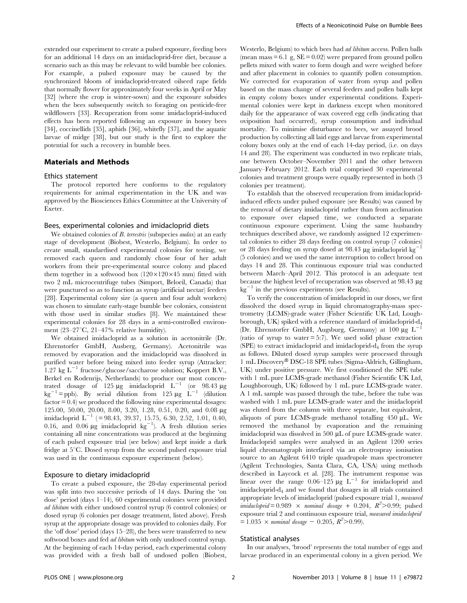extended our experiment to create a pulsed exposure, feeding bees for an additional 14 days on an imidacloprid-free diet, because a scenario such as this may be relevant to wild bumble bee colonies. For example, a pulsed exposure may be caused by the synchronized bloom of imidacloprid-treated oilseed rape fields that normally flower for approximately four weeks in April or May [32] (where the crop is winter-sown) and the exposure subsides when the bees subsequently switch to foraging on pesticide-free wildflowers [33]. Recuperation from some imidacloprid-induced effects has been reported following an exposure in honey bees [34], coccinellids [35], aphids [36], whitefly [37], and the aquatic larvae of midge [38], but our study is the first to explore the potential for such a recovery in bumble bees.

## Materials and Methods

#### Ethics statement

The protocol reported here conforms to the regulatory requirements for animal experimentation in the UK and was approved by the Biosciences Ethics Committee at the University of Exeter.

#### Bees, experimental colonies and imidacloprid diets

We obtained colonies of B. terrestris (subspecies *audax*) at an early stage of development (Biobest, Westerlo, Belgium). In order to create small, standardised experimental colonies for testing, we removed each queen and randomly chose four of her adult workers from their pre-experimental source colony and placed them together in a softwood box  $(120\times120\times45$  mm) fitted with two 2 mL microcentrifuge tubes (Simport, Beloeil, Canada) that were punctured so as to function as syrup (artificial nectar) feeders [28]. Experimental colony size (a queen and four adult workers) was chosen to simulate early-stage bumble bee colonies, consistent with those used in similar studies [8]. We maintained these experimental colonies for 28 days in a semi-controlled environment (23–27 $\mathrm{C}$ , 21–47 $\%$  relative humidity).

We obtained imidacloprid as a solution in acetonitrile (Dr. Ehrenstorfer GmbH, Ausberg, Germany). Acetonitrile was removed by evaporation and the imidacloprid was dissolved in purified water before being mixed into feeder syrup (Attracker: 1.27 kg  $L^{-1}$  fructose/glucose/saccharose solution; Koppert B.V., Berkel en Rodenrijs, Netherlands) to produce our most concentrated dosage of 125  $\mu$ g imidacloprid L<sup>-1</sup> (or 98.43  $\mu$ g  $kg^{-1}$  = ppb). By serial dilution from 125  $\mu$ g L<sup>-1</sup> (dilution  $factor = 0.4$ ) we produced the following nine experimental dosages: 125.00, 50.00, 20.00, 8.00, 3.20, 1.28, 0.51, 0.20, and 0.08 mg imidacloprid  $L^{-1}$  (= 98.43, 39.37, 15.75, 6.30, 2.52, 1.01, 0.40, 0.16, and 0.06  $\mu$ g imidacloprid  $\text{kg}^{-1}$ ). A fresh dilution series containing all nine concentrations was produced at the beginning of each pulsed exposure trial (see below) and kept inside a dark fridge at  $5^{\circ}$ C. Dosed syrup from the second pulsed exposure trial was used in the continuous exposure experiment (below).

## Exposure to dietary imidacloprid

To create a pulsed exposure, the 28-day experimental period was split into two successive periods of 14 days. During the 'on dose' period (days 1–14), 60 experimental colonies were provided ad libitum with either undosed control syrup (6 control colonies) or dosed syrup (6 colonies per dosage treatment, listed above). Fresh syrup at the appropriate dosage was provided to colonies daily. For the 'off dose' period (days 15–28), the bees were transferred to new softwood boxes and fed *ad libitum* with only undosed control syrup. At the beginning of each 14-day period, each experimental colony was provided with a fresh ball of undosed pollen (Biobest,

Westerlo, Belgium) to which bees had ad libitum access. Pollen balls (mean mass  $= 6.1$  g,  $SE = 0.02$ ) were prepared from ground pollen pellets mixed with water to form dough and were weighed before and after placement in colonies to quantify pollen consumption. We corrected for evaporation of water from syrup and pollen based on the mass change of several feeders and pollen balls kept in empty colony boxes under experimental conditions. Experimental colonies were kept in darkness except when monitored daily for the appearance of wax covered egg cells (indicating that oviposition had occurred), syrup consumption and individual mortality. To minimise disturbance to bees, we assayed brood production by collecting all laid eggs and larvae from experimental colony boxes only at the end of each 14-day period, (i.e. on days 14 and 28). The experiment was conducted in two replicate trials, one between October–November 2011 and the other between January–February 2012. Each trial comprised 30 experimental colonies and treatment groups were equally represented in both (3 colonies per treatment).

To establish that the observed recuperation from imidaclopridinduced effects under pulsed exposure (see Results) was caused by the removal of dietary imidacloprid rather than from acclimation to exposure over elapsed time, we conducted a separate continuous exposure experiment. Using the same husbandry techniques described above, we randomly assigned 12 experimental colonies to either 28 days feeding on control syrup (7 colonies) or 28 days feeding on syrup dosed at 98.43  $\mu$ g imidacloprid kg<sup>-1</sup> (5 colonies) and we used the same interruption to collect brood on days 14 and 28. This continuous exposure trial was conducted between March–April 2012. This protocol is an adequate test because the highest level of recuperation was observed at 98.43 µg  $kg^{-1}$  in the previous experiments (see Results).

To verify the concentration of imidacloprid in our doses, we first dissolved the dosed syrup in liquid chromatography-mass spectrometry (LCMS)-grade water (Fisher Scientific UK Ltd, Loughborough, UK) spiked with a reference standard of imidacloprid-d4 (Dr. Ehrenstorfer GmbH, Augsburg, Germany) at  $100 \mu g L$ (ratio of syrup to water  $= 5:7$ ). We used solid phase extraction (SPE) to extract imidacloprid and imidacloprid-d4 from the syrup as follows. Diluted dosed syrup samples were processed through 1 mL Discovery® DSC-18 SPE tubes (Sigma-Aldrich, Gillingham, UK) under positive pressure. We first conditioned the SPE tube with 1 mL pure LCMS-grade methanol (Fisher Scientific UK Ltd, Loughborough, UK) followed by 1 mL pure LCMS-grade water. A 1 mL sample was passed through the tube, before the tube was washed with 1 mL pure LCMS-grade water and the imidacloprid was eluted from the column with three separate, but equivalent, aliquots of pure LCMS-grade methanol totalling  $450 \mu L$ . We removed the methanol by evaporation and the remaining imidacloprid was dissolved in 500 µL of pure LCMS-grade water. Imidacloprid samples were analysed in an Agilent 1200 series liquid chromatograph interfaced via an electrospray ionisation source to an Agilent 6410 triple quadrupole mass spectrometer (Agilent Technologies, Santa Clara, CA, USA) using methods described in Laycock et al. [28]. The instrument response was linear over the range  $0.06-125 \mu g L^{-1}$  for imidacloprid and imidacloprid-d4 and we found that dosages in all trials contained appropriate levels of imidacloprid (pulsed exposure trial 1, measured  $imidachprid = 0.989 \times nominal \text{ dosage} + 0.204, R^2 > 0.99$ ; pulsed exposure trial 2 and continuous exposure trial, measured imidacloprid  $= 1.035 \times \text{nominal dosage} - 0.205, R^2 > 0.99).$ 

### Statistical analyses

In our analyses, 'brood' represents the total number of eggs and larvae produced in an experimental colony in a given period. We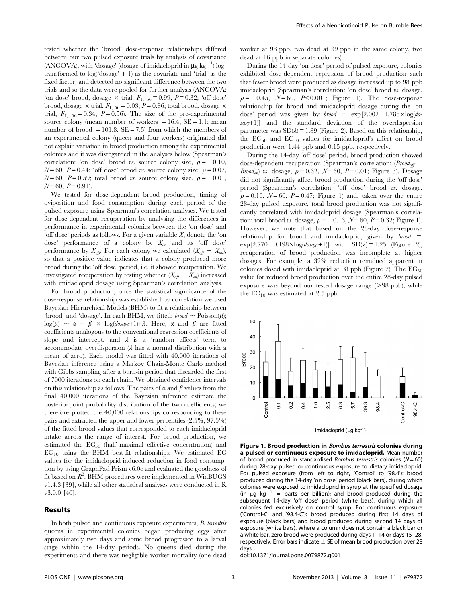tested whether the 'brood' dose-response relationships differed between our two pulsed exposure trials by analysis of covariance (ANCOVA), with 'dosage' (dosage of imidacloprid in  $\mu$ g kg<sup>-1</sup>) logtransformed to  $log('dosage' + 1)$  as the covariate and 'trial' as the fixed factor, and detected no significant difference between the two trials and so the data were pooled for further analysis (ANCOVA: 'on dose' brood, dosage  $\times$  trial,  $F_{1, 56} = 0.99$ ,  $P = 0.32$ ; 'off dose' brood, dosage  $\times$  trial,  $F_{1, 56} = 0.03, P = 0.86$ ; total brood, dosage  $\times$ trial,  $F_{1, 56} = 0.34$ ,  $P = 0.56$ ). The size of the pre-experimental source colony (mean number of workers  $= 16.4$ ,  $SE = 1.1$ ; mean number of brood  $= 101.8$ ,  $SE = 7.5$  from which the members of an experimental colony (queen and four workers) originated did not explain variation in brood production among the experimental colonies and it was disregarded in the analyses below (Spearman's correlation: 'on dose' brood vs. source colony size,  $\rho = -0.10$ ,  $N = 60$ ,  $P = 0.44$ ; 'off dose' brood vs. source colony size,  $\rho = 0.07$ ,  $N = 60$ ,  $P = 0.59$ ; total brood vs. source colony size,  $\rho = -0.01$ ,  $N = 60$ ,  $P = 0.91$ ).

We tested for dose-dependent brood production, timing of oviposition and food consumption during each period of the pulsed exposure using Spearman's correlation analyses. We tested for dose-dependent recuperation by analysing the differences in performance in experimental colonies between the 'on dose' and 'off dose' periods as follows. For a given variable X, denote the 'on dose' performance of a colony by  $X_{on}$  and its 'off dose' performance by  $X_{\text{off}}$ . For each colony we calculated  $(X_{\text{off}} - X_{\text{on}})$ , so that a positive value indicates that a colony produced more brood during the 'off dose' period, i.e. it showed recuperation. We investigated recuperation by testing whether  $(X_{\text{off}} - X_{\text{on}})$  increased with imidacloprid dosage using Spearman's correlation analysis.

For brood production, once the statistical significance of the dose-response relationship was established by correlation we used Bayesian Hierarchical Models (BHM) to fit a relationship between 'brood' and 'dosage'. In each BHM, we fitted:  $b$ rood  $\sim$  Poisson( $\mu$ );  $log(\mu) \sim \alpha + \beta \times log(dosage+1) + \lambda$ . Here,  $\alpha$  and  $\beta$  are fitted coefficients analogous to the conventional regression coefficients of slope and intercept, and  $\lambda$  is a 'random effects' term to accommodate overdispersion  $(\lambda)$  has a normal distribution with a mean of zero). Each model was fitted with 40,000 iterations of Bayesian inference using a Markov Chain-Monte Carlo method with Gibbs sampling after a burn-in period that discarded the first of 7000 iterations on each chain. We obtained confidence intervals on this relationship as follows. The pairs of  $\alpha$  and  $\beta$  values from the final 40,000 iterations of the Bayesian inference estimate the posterior joint probability distribution of the two coefficients; we therefore plotted the 40,000 relationships corresponding to these pairs and extracted the upper and lower percentiles (2.5%, 97.5%) of the fitted brood values that corresponded to each imidacloprid intake across the range of interest. For brood production, we estimated the EC<sub>50</sub> (half maximal effective concentration) and  $\rm EC_{10}$  using the BHM best-fit relationships. We estimated EC values for the imidacloprid-induced reduction in food consumption by using GraphPad Prism v6.0c and evaluated the goodness of fit based on  $R^2$ . BHM procedures were implemented in WinBUGS v1.4.3 [39], while all other statistical analyses were conducted in R v3.0.0 [40].

## Results

In both pulsed and continuous exposure experiments, B. terrestris queens in experimental colonies began producing eggs after approximately two days and some brood progressed to a larval stage within the 14-day periods. No queens died during the experiments and there was negligible worker mortality (one dead worker at 98 ppb, two dead at 39 ppb in the same colony, two dead at 16 ppb in separate colonies).

During the 14-day 'on dose' period of pulsed exposure, colonies exhibited dose-dependent repression of brood production such that fewer brood were produced as dosage increased up to 98 ppb imidacloprid (Spearman's correlation: 'on dose' brood vs. dosage,  $\rho = -0.45$ ,  $N= 60$ ,  $P< 0.001$ ; Figure 1). The dose-response relationship for brood and imidacloprid dosage during the 'on dose' period was given by *brood* =  $\exp[2.002-1.788\times\log(d\sigma-1.000)]$ sage+1)] and the standard deviation of the overdispersion parameter was  $SD(\lambda) = 1.89$  (Figure 2). Based on this relationship, the  $EC_{50}$  and  $EC_{10}$  values for imidacloprid's affect on brood production were 1.44 ppb and 0.15 ppb, respectively.

During the 14-day 'off dose' period, brood production showed dose-dependent recuperation (Spearman's correlation:  $(B\text{road}_{\text{off}} -$ *Brood<sub>on</sub>*) vs. dosage,  $\rho = 0.32$ ,  $\mathcal{N} = 60$ ,  $P = 0.01$ ; Figure 3). Dosage did not significantly affect brood production during the 'off dose' period (Spearman's correlation: 'off dose' brood vs. dosage,  $\rho = 0.10$ ,  $N = 60$ ,  $P = 0.47$ ; Figure 1) and, taken over the entire 28-day pulsed exposure, total brood production was not significantly correlated with imidacloprid dosage (Spearman's correlation: total brood vs. dosage,  $\rho = -0.13$ ,  $\mathcal{N} = 60$ ,  $P = 0.32$ ; Figure 1). However, we note that based on the 28-day dose-response relationship for brood and imidacloprid, given by  $b$ rood =  $\exp[2.770-0.198\times\log(dosage+1)]$  with  $SD(\lambda) = 1.25$  (Figure 2), recuperation of brood production was incomplete at higher dosages. For example, a 32% reduction remained apparent in colonies dosed with imidacloprid at 98 ppb (Figure 2). The  $EC_{50}$ value for reduced brood production over the entire 28-day pulsed exposure was beyond our tested dosage range  $(>98$  ppb), while the  $EC_{10}$  was estimated at 2.5 ppb.



Figure 1. Brood production in Bombus terrestris colonies during a pulsed or continuous exposure to imidacloprid. Mean number of brood produced in standardised Bombus terrestris colonies ( $N = 60$ ) during 28-day pulsed or continuous exposure to dietary imidacloprid. For pulsed exposure (from left to right, 'Control' to '98.4'): brood produced during the 14-day 'on dose' period (black bars), during which colonies were exposed to imidacloprid in syrup at the specified dosage (in  $\mu g$  kg<sup>-1</sup> = parts per billion); and brood produced during the  $=$  parts per billion); and brood produced during the subsequent 14-day 'off dose' period (white bars), during which all colonies fed exclusively on control syrup. For continuous exposure ('Control-C' and '98.4-C'): brood produced during first 14 days of exposure (black bars) and brood produced during second 14 days of exposure (white bars). Where a column does not contain a black bar or a white bar, zero brood were produced during days 1–14 or days 15–28, respectively. Error bars indicate  $\pm$  SE of mean brood production over 28 days.

doi:10.1371/journal.pone.0079872.g001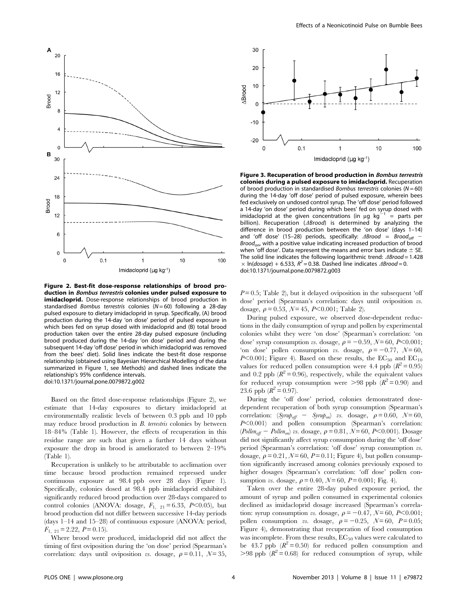

Figure 2. Best-fit dose-response relationships of brood production in Bombus terrestris colonies under pulsed exposure to imidacloprid. Dose-response relationships of brood production in standardised Bombus terrestris colonies ( $N = 60$ ) following a 28-day pulsed exposure to dietary imidacloprid in syrup. Specifically, (A) brood production during the 14-day 'on dose' period of pulsed exposure in which bees fed on syrup dosed with imidacloprid and (B) total brood production taken over the entire 28-day pulsed exposure (including brood produced during the 14-day 'on dose' period and during the subsequent 14-day 'off dose' period in which imidacloprid was removed from the bees' diet). Solid lines indicate the best-fit dose response relationship (obtained using Bayesian Hierarchical Modelling of the data summarized in Figure 1, see Methods) and dashed lines indicate the relationship's 95% confidence intervals. doi:10.1371/journal.pone.0079872.g002

Based on the fitted dose-response relationships (Figure 2), we estimate that 14-day exposures to dietary imidacloprid at environmentally realistic levels of between 0.3 ppb and 10 ppb may reduce brood production in B. terrestris colonies by between 18–84% (Table 1). However, the effects of recuperation in this residue range are such that given a further 14 days without exposure the drop in brood is ameliorated to between 2–19% (Table 1).

Recuperation is unlikely to be attributable to acclimation over time because brood production remained repressed under continuous exposure at 98.4 ppb over 28 days (Figure 1). Specifically, colonies dosed at 98.4 ppb imidacloprid exhibited significantly reduced brood production over 28-days compared to control colonies (ANOVA: dosage,  $F_{1,21} = 6.33$ ,  $P<0.05$ ), but brood production did not differ between successive 14-day periods (days 1–14 and 15–28) of continuous exposure (ANOVA: period,  $F_{1, 21} = 2.22, P = 0.15$ .

Where brood were produced, imidacloprid did not affect the timing of first oviposition during the 'on dose' period (Spearman's correlation: days until oviposition vs. dosage,  $\rho = 0.11$ ,  $\mathcal{N} = 35$ ,



Figure 3. Recuperation of brood production in Bombus terrestris colonies during a pulsed exposure to imidacloprid. Recuperation of brood production in standardised Bombus terrestris colonies ( $N = 60$ ) during the 14-day 'off dose' period of pulsed exposure, wherein bees fed exclusively on undosed control syrup. The 'off dose' period followed a 14-day 'on dose' period during which bees' fed on syrup dosed with imidacloprid at the given concentrations (in  $\mu$ g kg<sup>-1</sup> = parts per billion). Recuperation ( $\triangle Broad$ ) is determined by analyzing the difference in brood production between the 'on dose' (days 1–14) and 'off dose' (15-28) periods, specifically:  $\triangle Broad = Broad_{off}$ Brood<sub>on</sub>, with a positive value indicating increased production of brood when 'off dose'. Data represent the means and error bars indicate  $\pm$  SE. The solid line indicates the following logarithmic trend:  $\triangle Broad = 1.428$  $\times$  In(dosage) + 6.533,  $R^2$  = 0.38. Dashed line indicates  $\triangle Broad = 0$ . doi:10.1371/journal.pone.0079872.g003

 $P=0.5$ ; Table 2), but it delayed oviposition in the subsequent 'off dose' period (Spearman's correlation: days until oviposition vs. dosage,  $\rho = 0.53$ ,  $N = 45$ ,  $P < 0.001$ ; Table 2).

During pulsed exposure, we observed dose-dependent reductions in the daily consumption of syrup and pollen by experimental colonies whilst they were 'on dose' (Spearman's correlation: 'on dose' syrup consumption vs. dosage,  $\rho = -0.59$ ,  $N = 60$ ,  $P < 0.001$ ; 'on dose' pollen consumption vs. dosage,  $\rho = -0.77$ ,  $N= 60$ ,  $P<0.001$ ; Figure 4). Based on these results, the  $EC_{50}$  and  $EC_{10}$ values for reduced pollen consumption were 4.4 ppb  $(R^2 = 0.95)$ and 0.2 ppb  $(R^2 = 0.96)$ , respectively, while the equivalent values for reduced syrup consumption were  $>98$  ppb  $(R^2 = 0.90)$  and 23.6 ppb  $(R^2 = 0.97)$ .

During the 'off dose' period, colonies demonstrated dosedependent recuperation of both syrup consumption (Spearman's correlation:  $(Syru\rho_{off} - Syru\rho_{on})$  vs. dosage,  $\rho = 0.60, \mathcal{N} = 60,$  $P<0.001$ ) and pollen consumption (Spearman's correlation: (Pollen<sub>off</sub> - Pollen<sub>on</sub>) vs. dosage,  $\rho = 0.81, \ N = 60, \ P < 0.001$ ). Dosage did not significantly affect syrup consumption during the 'off dose' period (Spearman's correlation: 'off dose' syrup consumption vs. dosage,  $\rho = 0.21$ ,  $\mathcal{N} = 60$ ,  $P = 0.11$ ; Figure 4), but pollen consumption significantly increased among colonies previously exposed to higher dosages (Spearman's correlation: 'off dose' pollen consumption *vs.* dosage,  $\rho = 0.40, \mathcal{N} = 60, P = 0.001$ ; Fig. 4).

Taken over the entire 28-day pulsed exposure period, the amount of syrup and pollen consumed in experimental colonies declined as imidacloprid dosage increased (Spearman's correlation: syrup consumption vs. dosage,  $\rho = -0.47$ ,  $\mathcal{N} = 60$ ,  $P \le 0.001$ ; pollen consumption vs. dosage,  $\rho = -0.25$ ,  $N = 60$ ,  $P = 0.05$ ; Figure 4), demonstrating that recuperation of food consumption was incomplete. From these results,  $EC_{50}$  values were calculated to be 43.7 ppb  $(R^2 = 0.50)$  for reduced pollen consumption and  $>98$  ppb ( $R^2 = 0.68$ ) for reduced consumption of syrup, while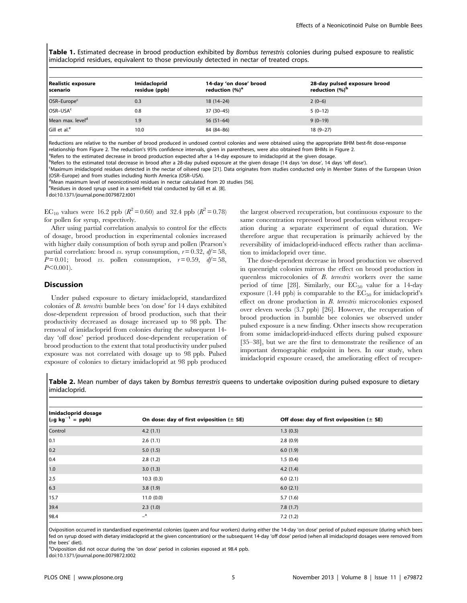Table 1. Estimated decrease in brood production exhibited by Bombus terrestris colonies during pulsed exposure to realistic imidacloprid residues, equivalent to those previously detected in nectar of treated crops.

| Realistic exposure<br>scenario | <b>Imidacloprid</b><br>residue (ppb) | 14-day 'on dose' brood<br>reduction (%) <sup>a</sup> | 28-day pulsed exposure brood<br>reduction (%) <sup>b</sup> |  |
|--------------------------------|--------------------------------------|------------------------------------------------------|------------------------------------------------------------|--|
| OSR-Europe <sup>c</sup>        | 0.3                                  | $18(14-24)$                                          | $2(0-6)$                                                   |  |
| OSR-USA <sup>c</sup>           | 0.8                                  | 37 (30-45)                                           | $5(0-12)$                                                  |  |
| Mean max. level <sup>d</sup>   | 1.9                                  | $56(51-64)$                                          | $9(0-19)$                                                  |  |
| Gill et al. <sup>e</sup>       | 10.0                                 | 84 (84-86)                                           | $18(9-27)$                                                 |  |

Reductions are relative to the number of brood produced in undosed control colonies and were obtained using the appropriate BHM best-fit dose-response relationship from Figure 2. The reduction's 95% confidence intervals, given in parentheses, were also obtained from BHMs in Figure 2.

<sup>a</sup>Refers to the estimated decrease in brood production expected after a 14-day exposure to imidacloprid at the given dosage.

bRefers to the estimated total decrease in brood after a 28-day pulsed exposure at the given dosage (14 days 'on dose', 14 days 'off dose').

c Maximum imidacloprid residues detected in the nectar of oilseed rape [21]. Data originates from studies conducted only in Member States of the European Union (OSR–Europe) and from studies including North America (OSR–USA).

<sup>d</sup>Mean maximum level of neonicotinoid residues in nectar calculated from 20 studies [56].

<sup>e</sup>Residues in dosed syrup used in a semi-field trial conducted by Gill et al. [8].

doi:10.1371/journal.pone.0079872.t001

EC<sub>10</sub> values were 16.2 ppb ( $R^2 = 0.60$ ) and 32.4 ppb ( $R^2 = 0.78$ ) for pollen for syrup, respectively.

After using partial correlation analysis to control for the effects of dosage, brood production in experimental colonies increased with higher daily consumption of both syrup and pollen (Pearson's partial correlation: brood vs. syrup consumption,  $r = 0.32$ ,  $df = 58$ ,  $P=0.01$ ; brood vs. pollen consumption,  $r=0.59$ ,  $df=58$ ,  $P<0.001$ ).

#### **Discussion**

Under pulsed exposure to dietary imidacloprid, standardized colonies of B. terrestris bumble bees 'on dose' for 14 days exhibited dose-dependent repression of brood production, such that their productivity decreased as dosage increased up to 98 ppb. The removal of imidacloprid from colonies during the subsequent 14 day 'off dose' period produced dose-dependent recuperation of brood production to the extent that total productivity under pulsed exposure was not correlated with dosage up to 98 ppb. Pulsed exposure of colonies to dietary imidacloprid at 98 ppb produced the largest observed recuperation, but continuous exposure to the same concentration repressed brood production without recuperation during a separate experiment of equal duration. We therefore argue that recuperation is primarily achieved by the reversibility of imidacloprid-induced effects rather than acclimation to imidacloprid over time.

The dose-dependent decrease in brood production we observed in queenright colonies mirrors the effect on brood production in queenless microcolonies of B. terrestris workers over the same period of time [28]. Similarly, our  $EC_{50}$  value for a 14-day exposure (1.44 ppb) is comparable to the  $EC_{50}$  for imidacloprid's effect on drone production in B. terrestris microcolonies exposed over eleven weeks (3.7 ppb) [26]. However, the recuperation of brood production in bumble bee colonies we observed under pulsed exposure is a new finding. Other insects show recuperation from some imidacloprid-induced effects during pulsed exposure [35–38], but we are the first to demonstrate the resilience of an important demographic endpoint in bees. In our study, when imidacloprid exposure ceased, the ameliorating effect of recuper-

Table 2. Mean number of days taken by Bombus terrestris queens to undertake oviposition during pulsed exposure to dietary imidacloprid.

| Imidacloprid dosage<br>$(\mu g kg^{-1} = ppb)$ | On dose: day of first oviposition $(\pm$ SE) | Off dose: day of first oviposition $(\pm$ SE) |  |  |
|------------------------------------------------|----------------------------------------------|-----------------------------------------------|--|--|
| Control                                        | 4.2(1.1)                                     | 1.3(0.3)                                      |  |  |
| 0.1                                            | 2.6(1.1)                                     | 2.8(0.9)                                      |  |  |
| 0.2                                            | 5.0(1.5)                                     | 6.0(1.9)                                      |  |  |
| 0.4                                            | 2.8(1.2)                                     | 1.5(0.4)                                      |  |  |
| 1.0                                            | 3.0(1.3)                                     | 4.2(1.4)                                      |  |  |
| 2.5                                            | 10.3(0.3)                                    | 6.0(2.1)                                      |  |  |
| 6.3                                            | 3.8(1.9)                                     | 6.0(2.1)                                      |  |  |
| 15.7                                           | 11.0(0.0)                                    | 5.7(1.6)                                      |  |  |
| 39.4                                           | 2.3(1.0)                                     | 7.8(1.7)                                      |  |  |
| 98.4                                           | $-$ <sup>a</sup>                             | 7.2(1.2)                                      |  |  |

Oviposition occurred in standardised experimental colonies (queen and four workers) during either the 14-day 'on dose' period of pulsed exposure (during which bees fed on syrup dosed with dietary imidacloprid at the given concentration) or the subsequent 14-day 'off dose' period (when all imidacloprid dosages were removed from the bees' diet).

<sup>a</sup>Oviposition did not occur during the 'on dose' period in colonies exposed at 98.4 ppb.

doi:10.1371/journal.pone.0079872.t002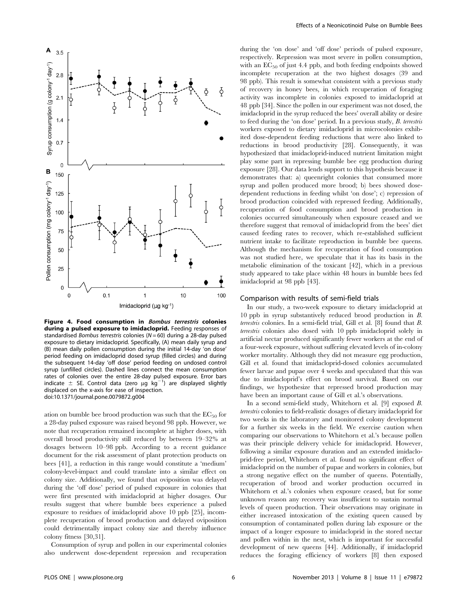

Figure 4. Food consumption in Bombus terrestris colonies during a pulsed exposure to imidacloprid. Feeding responses of standardised Bombus terrestris colonies ( $N = 60$ ) during a 28-day pulsed exposure to dietary imidacloprid. Specifically, (A) mean daily syrup and (B) mean daily pollen consumption during the initial 14-day 'on dose' period feeding on imidacloprid dosed syrup (filled circles) and during the subsequent 14-day 'off dose' period feeding on undosed control syrup (unfilled circles). Dashed lines connect the mean consumption rates of colonies over the entire 28-day pulsed exposure. Error bars indicate  $\pm$  SE. Control data (zero  $\mu$ g kg<sup>-1</sup>) are displayed slightly displaced on the x-axis for ease of inspection. doi:10.1371/journal.pone.0079872.g004

ation on bumble bee brood production was such that the  $EC_{50}$  for a 28-day pulsed exposure was raised beyond 98 ppb. However, we note that recuperation remained incomplete at higher doses, with overall brood productivity still reduced by between 19–32% at dosages between 10–98 ppb. According to a recent guidance document for the risk assessment of plant protection products on bees [41], a reduction in this range would constitute a 'medium' colony-level-impact and could translate into a similar effect on colony size. Additionally, we found that oviposition was delayed during the 'off dose' period of pulsed exposure in colonies that were first presented with imidacloprid at higher dosages. Our results suggest that where bumble bees experience a pulsed exposure to residues of imidacloprid above 10 ppb [25], incomplete recuperation of brood production and delayed oviposition could detrimentally impact colony size and thereby influence colony fitness [30,31].

Consumption of syrup and pollen in our experimental colonies also underwent dose-dependent repression and recuperation during the 'on dose' and 'off dose' periods of pulsed exposure, respectively. Repression was most severe in pollen consumption, with an EC<sub>50</sub> of just 4.4 ppb, and both feeding endpoints showed incomplete recuperation at the two highest dosages (39 and 98 ppb). This result is somewhat consistent with a previous study of recovery in honey bees, in which recuperation of foraging activity was incomplete in colonies exposed to imidacloprid at 48 ppb [34]. Since the pollen in our experiment was not dosed, the imidacloprid in the syrup reduced the bees' overall ability or desire to feed during the 'on dose' period. In a previous study, B. terrestris workers exposed to dietary imidacloprid in microcolonies exhibited dose-dependent feeding reductions that were also linked to reductions in brood productivity [28]. Consequently, it was hypothesized that imidacloprid-induced nutrient limitation might play some part in repressing bumble bee egg production during exposure [28]. Our data lends support to this hypothesis because it demonstrates that: a) queenright colonies that consumed more syrup and pollen produced more brood; b) bees showed dosedependent reductions in feeding whilst 'on dose'; c) repression of brood production coincided with repressed feeding. Additionally, recuperation of food consumption and brood production in colonies occurred simultaneously when exposure ceased and we therefore suggest that removal of imidacloprid from the bees' diet caused feeding rates to recover, which re-established sufficient nutrient intake to facilitate reproduction in bumble bee queens. Although the mechanism for recuperation of food consumption was not studied here, we speculate that it has its basis in the metabolic elimination of the toxicant [42], which in a previous study appeared to take place within 48 hours in bumble bees fed imidacloprid at 98 ppb [43].

## Comparison with results of semi-field trials

In our study, a two-week exposure to dietary imidacloprid at 10 ppb in syrup substantively reduced brood production in B. terrestris colonies. In a semi-field trial, Gill et al. [8] found that B. terrestris colonies also dosed with 10 ppb imidacloprid solely in artificial nectar produced significantly fewer workers at the end of a four-week exposure, without suffering elevated levels of in-colony worker mortality. Although they did not measure egg production, Gill et al. found that imidacloprid-dosed colonies accumulated fewer larvae and pupae over 4 weeks and speculated that this was due to imidacloprid's effect on brood survival. Based on our findings, we hypothesize that repressed brood production may have been an important cause of Gill et al.'s observations.

In a second semi-field study, Whitehorn et al. [9] exposed B. terrestris colonies to field-realistic dosages of dietary imidacloprid for two weeks in the laboratory and monitored colony development for a further six weeks in the field. We exercise caution when comparing our observations to Whitehorn et al.'s because pollen was their principle delivery vehicle for imidacloprid. However, following a similar exposure duration and an extended imidacloprid-free period, Whitehorn et al. found no significant effect of imidacloprid on the number of pupae and workers in colonies, but a strong negative effect on the number of queens. Potentially, recuperation of brood and worker production occurred in Whitehorn et al.'s colonies when exposure ceased, but for some unknown reason any recovery was insufficient to sustain normal levels of queen production. Their observations may originate in either increased intoxication of the existing queen caused by consumption of contaminated pollen during lab exposure or the impact of a longer exposure to imidacloprid in the stored nectar and pollen within in the nest, which is important for successful development of new queens [44]. Additionally, if imidacloprid reduces the foraging efficiency of workers [8] then exposed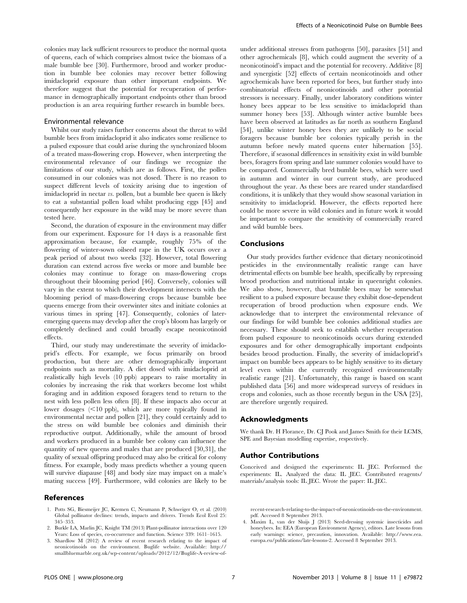colonies may lack sufficient resources to produce the normal quota of queens, each of which comprises almost twice the biomass of a male bumble bee [30]. Furthermore, brood and worker production in bumble bee colonies may recover better following imidacloprid exposure than other important endpoints. We therefore suggest that the potential for recuperation of performance in demographically important endpoints other than brood production is an area requiring further research in bumble bees.

#### Environmental relevance

Whilst our study raises further concerns about the threat to wild bumble bees from imidacloprid it also indicates some resilience to a pulsed exposure that could arise during the synchronized bloom of a treated mass-flowering crop. However, when interpreting the environmental relevance of our findings we recognize the limitations of our study, which are as follows. First, the pollen consumed in our colonies was not dosed. There is no reason to suspect different levels of toxicity arising due to ingestion of imidacloprid in nectar vs. pollen, but a bumble bee queen is likely to eat a substantial pollen load whilst producing eggs [45] and consequently her exposure in the wild may be more severe than tested here.

Second, the duration of exposure in the environment may differ from our experiment. Exposure for 14 days is a reasonable first approximation because, for example, roughly 75% of the flowering of winter-sown oilseed rape in the UK occurs over a peak period of about two weeks [32]. However, total flowering duration can extend across five weeks or more and bumble bee colonies may continue to forage on mass-flowering crops throughout their blooming period [46]. Conversely, colonies will vary in the extent to which their development intersects with the blooming period of mass-flowering crops because bumble bee queens emerge from their overwinter sites and initiate colonies at various times in spring [47]. Consequently, colonies of lateremerging queens may develop after the crop's bloom has largely or completely declined and could broadly escape neonicotinoid effects.

Third, our study may underestimate the severity of imidacloprid's effects. For example, we focus primarily on brood production, but there are other demographically important endpoints such as mortality. A diet dosed with imidacloprid at realistically high levels (10 ppb) appears to raise mortality in colonies by increasing the risk that workers become lost whilst foraging and in addition exposed foragers tend to return to the nest with less pollen less often [8]. If these impacts also occur at lower dosages  $(\leq 10$  ppb), which are more typically found in environmental nectar and pollen [21], they could certainly add to the stress on wild bumble bee colonies and diminish their reproductive output. Additionally, while the amount of brood and workers produced in a bumble bee colony can influence the quantity of new queens and males that are produced [30,31], the quality of sexual offspring produced may also be critical for colony fitness. For example, body mass predicts whether a young queen will survive diapause [48] and body size may impact on a male's mating success [49]. Furthermore, wild colonies are likely to be

### References

- 1. Potts SG, Biesmeijer JC, Kremen C, Neumann P, Schweiger O, et al. (2010) Global pollinator declines: trends, impacts and drivers. Trends Ecol Evol 25: 345–353.
- 2. Burkle LA, Marlin JC, Knight TM (2013) Plant-pollinator interactions over 120 Years: Loss of species, co-occurrence and function. Science 339: 1611–1615.
- 3. Shardlow M (2012) A review of recent research relating to the impact of neonicotinoids on the environment. Buglife website. Available: http:// smallbluemarble.org.uk/wp-content/uploads/2012/12/Buglife-A-review-of-

under additional stresses from pathogens [50], parasites [51] and other agrochemicals [8], which could augment the severity of a neonicotinoid's impact and the potential for recovery. Additive [8] and synergistic [52] effects of certain neonicotinoids and other agrochemicals have been reported for bees, but further study into combinatorial effects of neonicotinoids and other potential stressors is necessary. Finally, under laboratory conditions winter honey bees appear to be less sensitive to imidacloprid than summer honey bees [53]. Although winter active bumble bees have been observed at latitudes as far north as southern England [54], unlike winter honey bees they are unlikely to be social foragers because bumble bee colonies typically perish in the autumn before newly mated queens enter hibernation [55]. Therefore, if seasonal differences in sensitivity exist in wild bumble bees, foragers from spring and late summer colonies would have to be compared. Commercially bred bumble bees, which were used in autumn and winter in our current study, are produced throughout the year. As these bees are reared under standardised conditions, it is unlikely that they would show seasonal variation in sensitivity to imidacloprid. However, the effects reported here could be more severe in wild colonies and in future work it would be important to compare the sensitivity of commercially reared and wild bumble bees.

## Conclusions

Our study provides further evidence that dietary neonicotinoid pesticides in the environmentally realistic range can have detrimental effects on bumble bee health, specifically by repressing brood production and nutritional intake in queenright colonies. We also show, however, that bumble bees may be somewhat resilient to a pulsed exposure because they exhibit dose-dependent recuperation of brood production when exposure ends. We acknowledge that to interpret the environmental relevance of our findings for wild bumble bee colonies additional studies are necessary. These should seek to establish whether recuperation from pulsed exposure to neonicotinoids occurs during extended exposures and for other demographically important endpoints besides brood production. Finally, the severity of imidacloprid's impact on bumble bees appears to be highly sensitive to its dietary level even within the currently recognized environmentally realistic range [21]. Unfortunately, this range is based on scant published data [56] and more widespread surveys of residues in crops and colonies, such as those recently begun in the USA [25], are therefore urgently required.

#### Acknowledgments

We thank Dr. H Florance, Dr. CJ Pook and James Smith for their LCMS, SPE and Bayesian modelling expertise, respectively.

#### Author Contributions

Conceived and designed the experiments: IL JEC. Performed the experiments: IL. Analyzed the data: IL JEC. Contributed reagents/ materials/analysis tools: IL JEC. Wrote the paper: IL JEC.

recent-research-relating-to-the-impact-of-neonicotinoids-on-the-environment. pdf. Accessed 8 September 2013.

4. Maxim L, van der Sluijs J (2013) Seed-dressing systemic insecticides and honeybees. In: EEA (European Environment Agency), editors. Late lessons from early warnings: science, precaution, innovation. Available: http://www.eea. europa.eu/publications/late-lessons-2. Accessed 8 September 2013.